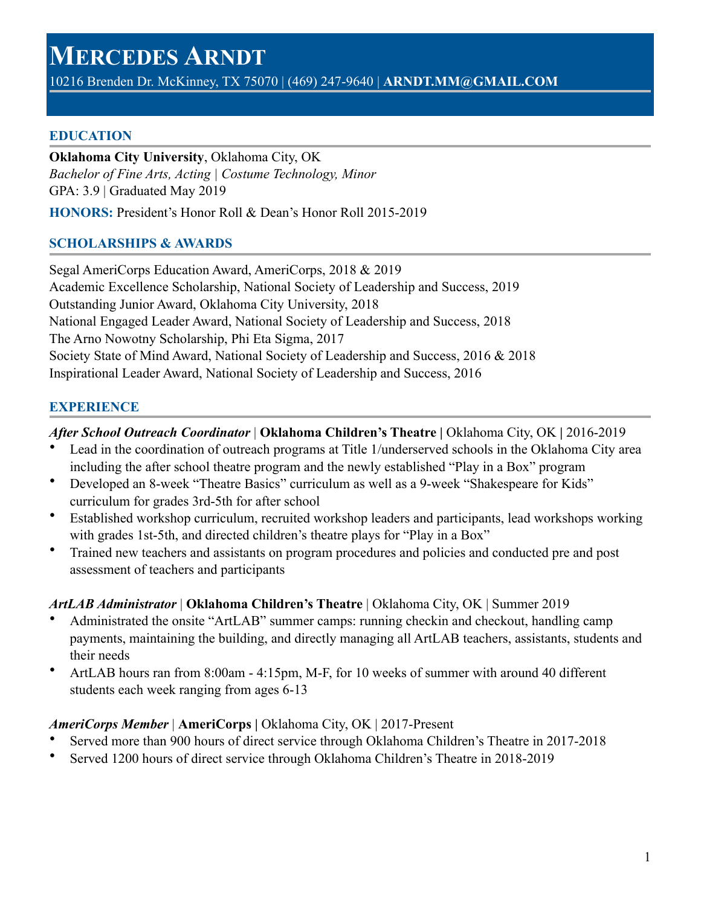# **MERCEDES ARNDT**

10216 Brenden Dr. McKinney, TX 75070 | (469) 247-9640 | **ARNDT.MM@GMAIL.COM** 

#### **EDUCATION**

**Oklahoma City University**, Oklahoma City, OK *Bachelor of Fine Arts, Acting | Costume Technology, Minor*  GPA: 3.9 | Graduated May 2019

**HONORS:** President's Honor Roll & Dean's Honor Roll 2015-2019

#### **SCHOLARSHIPS & AWARDS**

Segal AmeriCorps Education Award, AmeriCorps, 2018 & 2019 Academic Excellence Scholarship, National Society of Leadership and Success, 2019 Outstanding Junior Award, Oklahoma City University, 2018 National Engaged Leader Award, National Society of Leadership and Success, 2018 The Arno Nowotny Scholarship, Phi Eta Sigma, 2017 Society State of Mind Award, National Society of Leadership and Success, 2016 & 2018 Inspirational Leader Award, National Society of Leadership and Success, 2016

# **EXPERIENCE**

# *After School Outreach Coordinator* | **Oklahoma Children's Theatre |** Oklahoma City, OK **|** 2016-2019

- Lead in the coordination of outreach programs at Title 1/underserved schools in the Oklahoma City area including the after school theatre program and the newly established "Play in a Box" program
- Developed an 8-week "Theatre Basics" curriculum as well as a 9-week "Shakespeare for Kids" curriculum for grades 3rd-5th for after school
- Established workshop curriculum, recruited workshop leaders and participants, lead workshops working with grades 1st-5th, and directed children's theatre plays for "Play in a Box"
- Trained new teachers and assistants on program procedures and policies and conducted pre and post assessment of teachers and participants

#### *ArtLAB Administrator* | **Oklahoma Children's Theatre** | Oklahoma City, OK | Summer 2019

- Administrated the onsite "ArtLAB" summer camps: running checkin and checkout, handling camp payments, maintaining the building, and directly managing all ArtLAB teachers, assistants, students and their needs
- ArtLAB hours ran from 8:00am 4:15pm, M-F, for 10 weeks of summer with around 40 different students each week ranging from ages 6-13

# *AmeriCorps Member* | **AmeriCorps |** Oklahoma City, OK | 2017-Present

- Served more than 900 hours of direct service through Oklahoma Children's Theatre in 2017-2018
- Served 1200 hours of direct service through Oklahoma Children's Theatre in 2018-2019